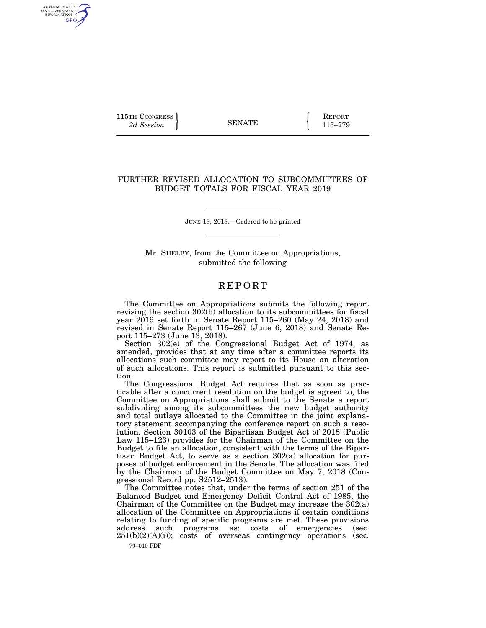115TH CONGRESS **REPORT** 2d Session **115–279** 

AUTHENTICATED<br>U.S. GOVERNMENT<br>INFORMATION GPO

## FURTHER REVISED ALLOCATION TO SUBCOMMITTEES OF BUDGET TOTALS FOR FISCAL YEAR 2019

JUNE 18, 2018.—Ordered to be printed

Mr. SHELBY, from the Committee on Appropriations, submitted the following

## **REPORT**

The Committee on Appropriations submits the following report revising the section  $302(b)$  allocation to its subcommittees for fiscal year 2019 set forth in Senate Report 115–260 (May 24, 2018) and revised in Senate Report 115–267 (June 6, 2018) and Senate Report 115–273 (June 13, 2018).

Section 302(e) of the Congressional Budget Act of 1974, as amended, provides that at any time after a committee reports its allocations such committee may report to its House an alteration of such allocations. This report is submitted pursuant to this section.

The Congressional Budget Act requires that as soon as practicable after a concurrent resolution on the budget is agreed to, the Committee on Appropriations shall submit to the Senate a report subdividing among its subcommittees the new budget authority and total outlays allocated to the Committee in the joint explanatory statement accompanying the conference report on such a resolution. Section 30103 of the Bipartisan Budget Act of 2018 (Public Law 115–123) provides for the Chairman of the Committee on the Budget to file an allocation, consistent with the terms of the Bipartisan Budget Act, to serve as a section 302(a) allocation for purposes of budget enforcement in the Senate. The allocation was filed by the Chairman of the Budget Committee on May 7, 2018 (Congressional Record pp.  $S2512-\bar{2}513$ .

The Committee notes that, under the terms of section 251 of the Balanced Budget and Emergency Deficit Control Act of 1985, the Chairman of the Committee on the Budget may increase the 302(a) allocation of the Committee on Appropriations if certain conditions relating to funding of specific programs are met. These provisions address such programs as: costs of emergencies (sec. address such programs as: costs of emergencies  $251(b)(2)(A)(i)$ ; costs of overseas contingency operations (sec.

79–010 PDF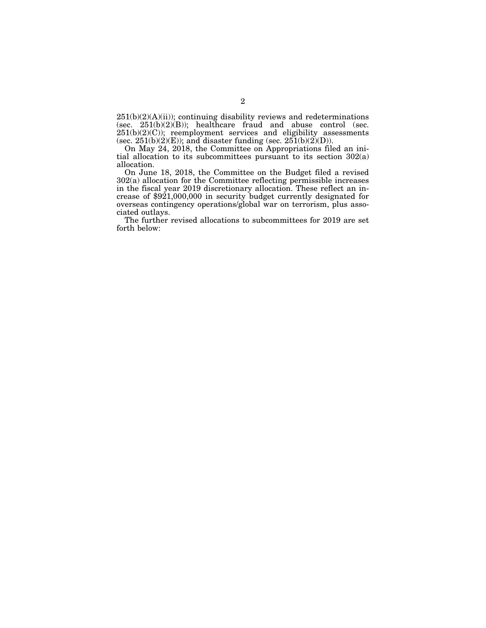$251(b)(2)(A)(ii)$ ; continuing disability reviews and redeterminations (sec.  $251(b)(2)(B)$ ); healthcare fraud and abuse control (sec.  $251(b)(2)(C)$ ; reemployment services and eligibility assessments (sec.  $251(b)(2)(E)$ ); and disaster funding (sec.  $251(b)(2)(D)$ ).

On May 24, 2018, the Committee on Appropriations filed an initial allocation to its subcommittees pursuant to its section 302(a) allocation.

On June 18, 2018, the Committee on the Budget filed a revised 302(a) allocation for the Committee reflecting permissible increases in the fiscal year 2019 discretionary allocation. These reflect an increase of \$921,000,000 in security budget currently designated for overseas contingency operations/global war on terrorism, plus associated outlays.

The further revised allocations to subcommittees for 2019 are set forth below: